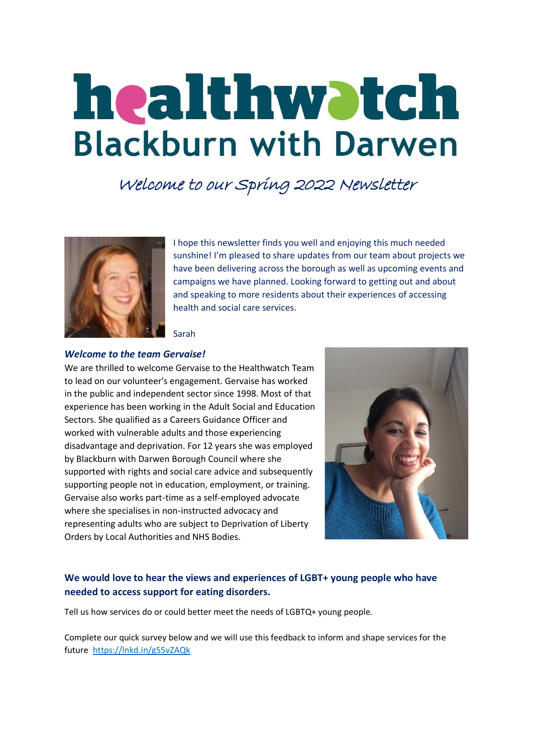# healthwatch **Blackburn with Darwen**

Welcome to our Spring 2022 Newsletter



I hope this newsletter finds you well and enjoying this much needed sunshine! I'm pleased to share updates from our team about projects we have been delivering across the borough as well as upcoming events and campaigns we have planned. Looking forward to getting out and about and speaking to more residents about their experiences of accessing health and social care services.

Sarah

#### *Welcome to the team Gervaise!*

We are thrilled to welcome Gervaise to the Healthwatch Team to lead on our volunteer's engagement. Gervaise has worked in the public and independent sector since 1998. Most of that experience has been working in the Adult Social and Education Sectors. She qualified as a Careers Guidance Officer and worked with vulnerable adults and those experiencing disadvantage and deprivation. For 12 years she was employed by Blackburn with Darwen Borough Council where she supported with rights and social care advice and subsequently supporting people not in education, employment, or training. Gervaise also works part-time as a self-employed advocate where she specialises in non-instructed advocacy and representing adults who are subject to Deprivation of Liberty Orders by Local Authorities and NHS Bodies.



## **We would love to hear the views and experiences of LGBT+ young people who have needed to access support for eating disorders.**

Tell us how services do or could better meet the needs of LGBTQ+ young people.

Complete our quick survey below and we will use this feedback to inform and shape services for the future<https://lnkd.in/g55vZAQk>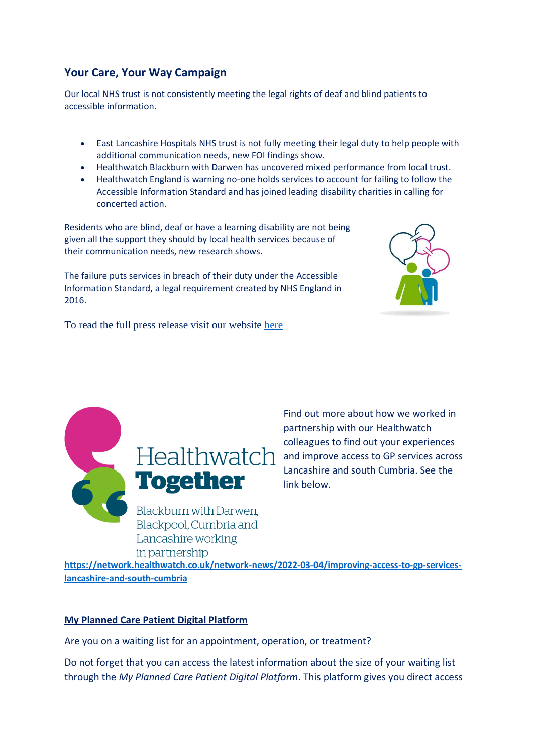# **Your Care, Your Way Campaign**

Our local NHS trust is not consistently meeting the legal rights of deaf and blind patients to accessible information.

- East Lancashire Hospitals NHS trust is not fully meeting their legal duty to help people with additional communication needs, new FOI findings show.
- Healthwatch Blackburn with Darwen has uncovered mixed performance from local trust.
- Healthwatch England is warning no-one holds services to account for failing to follow the Accessible Information Standard and has joined leading disability charities in calling for concerted action.

Residents who are blind, deaf or have a learning disability are not being given all the support they should by local health services because of their communication needs, new research shows.

The failure puts services in breach of their duty under the [Accessible](https://www.healthwatch.co.uk/advice-and-information/2022-01-18/accessible-information-standard-what-you-can-expect-services)  [Information Standard,](https://www.healthwatch.co.uk/advice-and-information/2022-01-18/accessible-information-standard-what-you-can-expect-services) a legal requirement created by NHS England in 2016.



To read the full press release visit our website [here](https://healthwatchblackburnwithdarwen.co.uk/yourcareyourway-2/)



Find out more about how we worked in partnership with our Healthwatch colleagues to find out your experiences and improve access to GP services across Lancashire and south Cumbria. See the link below.

**[https://network.healthwatch.co.uk/network-news/2022-03-04/improving-access-to-gp-services](https://network.healthwatch.co.uk/network-news/2022-03-04/improving-access-to-gp-services-lancashire-and-south-cumbria)[lancashire-and-south-cumbria](https://network.healthwatch.co.uk/network-news/2022-03-04/improving-access-to-gp-services-lancashire-and-south-cumbria)**

### **My Planned Care Patient Digital Platform**

Are you on a waiting list for an appointment, operation, or treatment?

Do not forget that you can access the latest information about the size of your waiting list through the *My Planned Care Patient Digital Platform*. This platform gives you direct access